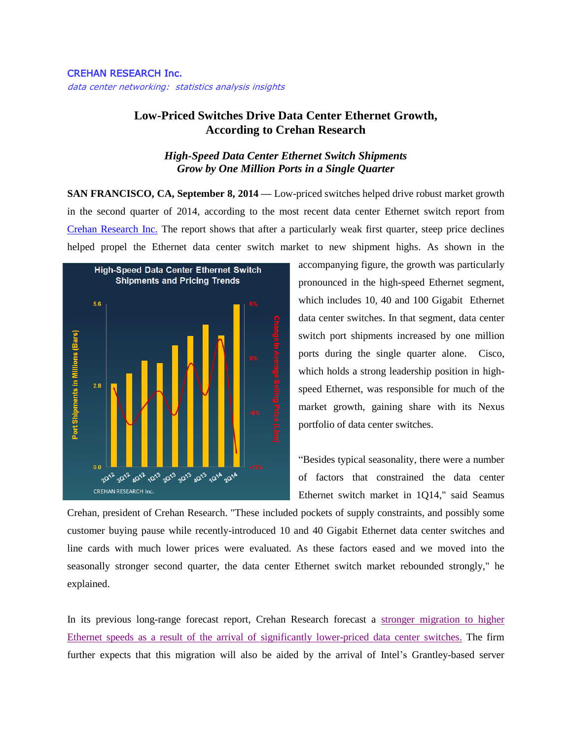## CREHAN RESEARCH Inc.

data center networking: statistics analysis insights

## **Low-Priced Switches Drive Data Center Ethernet Growth, According to Crehan Research**

## *High-Speed Data Center Ethernet Switch Shipments Grow by One Million Ports in a Single Quarter*

**SAN FRANCISCO, CA, September 8, 2014 —** Low-priced switches helped drive robust market growth in the second quarter of 2014, according to the most recent data center Ethernet switch report from [Crehan Research Inc.](http://www.crehanresearch.com/) The report shows that after a particularly weak first quarter, steep price declines helped propel the Ethernet data center switch market to new shipment highs. As shown in the



accompanying figure, the growth was particularly pronounced in the high-speed Ethernet segment, which includes 10, 40 and 100 Gigabit Ethernet data center switches. In that segment, data center switch port shipments increased by one million ports during the single quarter alone. Cisco, which holds a strong leadership position in highspeed Ethernet, was responsible for much of the market growth, gaining share with its Nexus portfolio of data center switches.

"Besides typical seasonality, there were a number of factors that constrained the data center Ethernet switch market in 1Q14," said Seamus

Crehan, president of Crehan Research. "These included pockets of supply constraints, and possibly some customer buying pause while recently-introduced 10 and 40 Gigabit Ethernet data center switches and line cards with much lower prices were evaluated. As these factors eased and we moved into the seasonally stronger second quarter, the data center Ethernet switch market rebounded strongly," he explained.

In its previous long-range forecast report, Crehan Research forecast a stronger [migration to higher](http://www.prnewswire.com/news-releases/growth-in-faster-data-center-switches-should-offset-steep-price-declines-according-to-crehan-research-268104711.html)  [Ethernet speeds as a result of the arrival of significantly lower-priced data center switches.](http://www.prnewswire.com/news-releases/growth-in-faster-data-center-switches-should-offset-steep-price-declines-according-to-crehan-research-268104711.html) The firm further expects that this migration will also be aided by the arrival of Intel's Grantley-based server